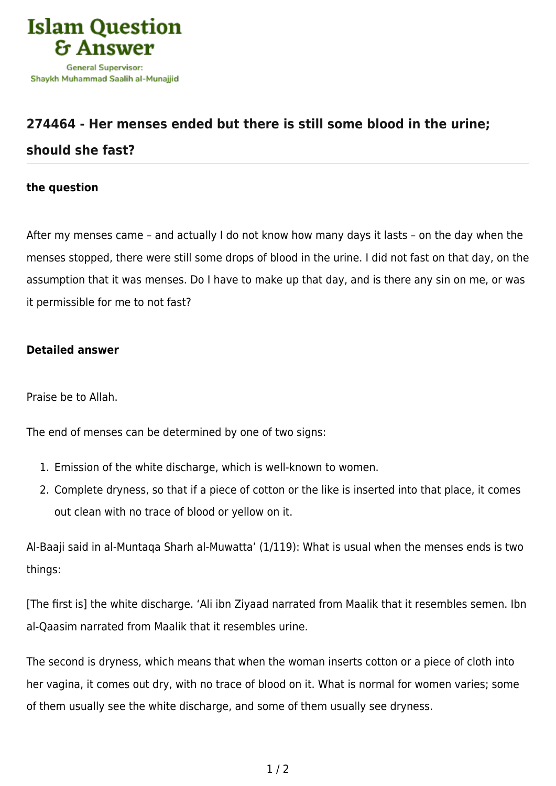

## **[274464 - Her menses ended but there is still some blood in the urine;](https://islamqa.info/en/answers/274464/her-menses-ended-but-there-is-still-some-blood-in-the-urine-should-she-fast) [should she fast?](https://islamqa.info/en/answers/274464/her-menses-ended-but-there-is-still-some-blood-in-the-urine-should-she-fast)**

## **the question**

After my menses came – and actually I do not know how many days it lasts – on the day when the menses stopped, there were still some drops of blood in the urine. I did not fast on that day, on the assumption that it was menses. Do I have to make up that day, and is there any sin on me, or was it permissible for me to not fast?

## **Detailed answer**

Praise be to Allah.

The end of menses can be determined by one of two signs:

- 1. Emission of the white discharge, which is well-known to women.
- 2. Complete dryness, so that if a piece of cotton or the like is inserted into that place, it comes out clean with no trace of blood or yellow on it.

Al-Baaji said in al-Muntaqa Sharh al-Muwatta' (1/119): What is usual when the menses ends is two things:

[The first is] the white discharge. 'Ali ibn Ziyaad narrated from Maalik that it resembles semen. Ibn al-Qaasim narrated from Maalik that it resembles urine.

The second is dryness, which means that when the woman inserts cotton or a piece of cloth into her vagina, it comes out dry, with no trace of blood on it. What is normal for women varies; some of them usually see the white discharge, and some of them usually see dryness.